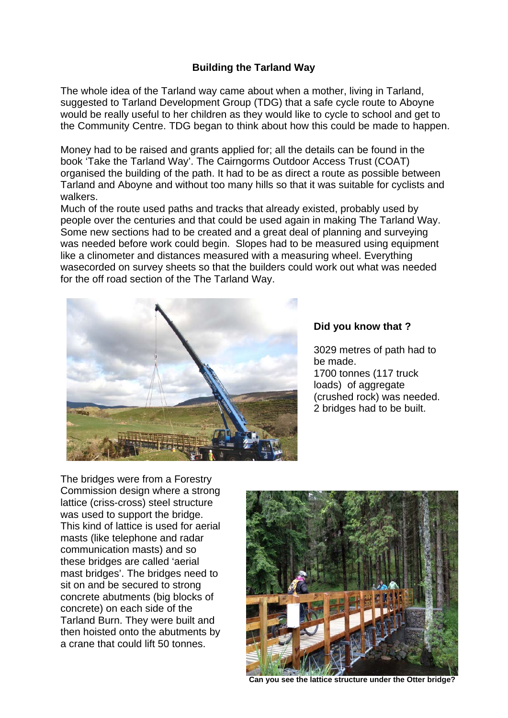## **Building the Tarland Way**

The whole idea of the Tarland way came about when a mother, living in Tarland, suggested to Tarland Development Group (TDG) that a safe cycle route to Aboyne would be really useful to her children as they would like to cycle to school and get to the Community Centre. TDG began to think about how this could be made to happen.

Money had to be raised and grants applied for; all the details can be found in the book 'Take the Tarland Way'. The Cairngorms Outdoor Access Trust (COAT) organised the building of the path. It had to be as direct a route as possible between Tarland and Aboyne and without too many hills so that it was suitable for cyclists and walkers.

Much of the route used paths and tracks that already existed, probably used by people over the centuries and that could be used again in making The Tarland Way. Some new sections had to be created and a great deal of planning and surveying was needed before work could begin. Slopes had to be measured using equipment like a clinometer and distances measured with a measuring wheel. Everything wasecorded on survey sheets so that the builders could work out what was needed for the off road section of the The Tarland Way.



## **Did you know that ?**

3029 metres of path had to be made. 1700 tonnes (117 truck loads) of aggregate (crushed rock) was needed. 2 bridges had to be built.

The bridges were from a Forestry Commission design where a strong lattice (criss-cross) steel structure was used to support the bridge. This kind of lattice is used for aerial masts (like telephone and radar communication masts) and so these bridges are called 'aerial mast bridges'. The bridges need to sit on and be secured to strong concrete abutments (big blocks of concrete) on each side of the Tarland Burn. They were built and then hoisted onto the abutments by a crane that could lift 50 tonnes.



**Can you see the lattice structure under the Otter bridge?**